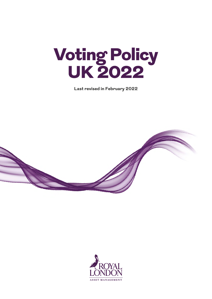

**Last revised in February 2022**



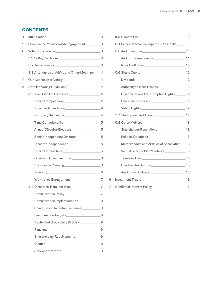# **CONTENTS**

| 1 |                                                  |  |
|---|--------------------------------------------------|--|
| 2 | Governance Monitoring & Engagement __________3   |  |
| 3 |                                                  |  |
|   | 3.1 Voting Decisions 3                           |  |
|   |                                                  |  |
|   | 3.3 Attendance at AGMs and Other Meetings ___ 4  |  |
| 4 | Our Approach to Voting 4                         |  |
| 5 |                                                  |  |
|   |                                                  |  |
|   |                                                  |  |
|   |                                                  |  |
|   |                                                  |  |
|   | Time Commitments _____________________________5  |  |
|   | Annual Director Elections________________5       |  |
|   | Senior Independent Director ____________5        |  |
|   | Director Independence __________________5        |  |
|   | Board Committees_____________________________5   |  |
|   | Chair and Chief Executive___________________6    |  |
|   | Succession Planning__________________________6   |  |
|   |                                                  |  |
|   | Workforce Engagement ____________________7       |  |
|   | 5.2 Directors' Remuneration 2                    |  |
|   | Remuneration Policy________________________7     |  |
|   | Remuneration Implementation ______________8      |  |
|   | Share-based Incentive Schemes____________8       |  |
|   | Performance Targets____________________________9 |  |
|   | Restricted Stock Units (RSUs)_______________9    |  |
|   |                                                  |  |
|   | Shareholding Requirements_________________9      |  |
|   |                                                  |  |
|   |                                                  |  |

 $\mathsf 6$  $\overline{7}$ 

| 5.4 Principal Adverse Impacts (ESG Risks)_____ 11 |  |
|---------------------------------------------------|--|
|                                                   |  |
|                                                   |  |
|                                                   |  |
|                                                   |  |
|                                                   |  |
| Authority to Issue Shares _____________________12 |  |
| Disapplication of Pre-emption Rights _____12      |  |
| Share Repurchases 12                              |  |
|                                                   |  |
|                                                   |  |
|                                                   |  |
| Shareholder Resolutions_____________________13    |  |
| Political Donations 13                            |  |
| Memorandum and Articles of Association __ 13      |  |
| Virtual Shareholder Meetings____________13        |  |
|                                                   |  |
|                                                   |  |
|                                                   |  |
|                                                   |  |
|                                                   |  |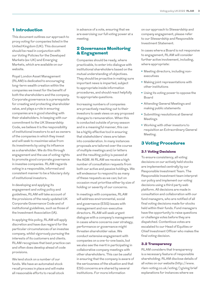# 1 Introduction

This document outlines our approach to proxy voting for companies listed in the United Kingdom (UK). This document should be read in conjunction with our Voting Policies for the Developed Markets (ex-UK) and Emerging Markets, which are available on our website.

Royal London Asset Management (RLAM) is dedicated to encouraging long-term wealth creation within the companies we invest for the benefit of both the shareholders and the company. Corporate governance is a prerequisite for creating and protecting shareholder value, and plays a role in ensuring companies are in good standing with their stakeholders. In keeping with our commitment to the UK Stewardship Code, we believe it is the responsibility of institutional investors to act as owners of the companies in which they invest and will seek to maximise value from its investments by using its influence as a shareholder. We do this through engagement and the use of voting rights to promote good corporate governance in investee companies. RLAM regards voting in a responsible, informed and consistent manner to be a fiduciary duty of institutional investors.

In developing and applying its engagement and voting policy and guidelines, RLAM will take account of the provisions of the newly updated UK Corporate Governance Code and of institutional guidelines, such as those of the Investment Association (IA).

In applying this policy, RLAM will apply discretion and have due regard for the particular circumstances of an investee company, whilst vigorously pursuing the interests of its customers and clients. RLAM recognises that best practice can and often does develop ahead of code provisions.

We lend stock on a number of our funds. We have an automated stock recall process in place and will make all reasonable efforts to recall stock in advance of a vote, ensuring that we are exercising our full voting power at a meeting.

## 2 Governance Monitoring & Engagement

Companies should be ready, where practicable, to enter into dialogue with institutional shareholders based on the mutual understanding of objectives. They should be proactive in making sure important news is imparted, subject to appropriate inside information procedures, and should react helpfully to appropriate questions.

Increasing numbers of companies are proactively reaching out to their investors to seek views on any proposed changes to remuneration. When this is conducted outside of proxy season and in a meaningful manner, this can be a highly effective tool in ensuring that stakeholders' views are taken into consideration. In many instances proposals are tailored over the course of multiple meetings and/or letters and the resulting policy is passed at the AGM. At RLAM we receive a high number of consultation requests from both our active and passive holdings. We will endeavour to respond to as many of these requests as we can; but on occasion must prioritise either by size of holding or severity of our concerns.

In meetings with companies, RLAM will address environmental, social and governance (ESG) issues with management and non-executive directors. RLAM will seek urgent dialogue with a company's management in cases where concerns over strategy, performance or governance might threaten shareholder value. We conduct extensive engagement with companies on a one-to-one basis, but we also see the merit in participating in collaborative company meetings with other shareholders. This can be useful in ensuring that the company is aware of the seriousness of the situation and that ESG concerns are shared by several institutions. For more information

on our approach to Stewardship and company engagement, please refer to our Stewardship and Responsible Investment Statement.

In cases where a Board is not responsive to engagement, RLAM will consider further active involvement, including, where appropriate:

- **•** Meeting directors, including nonexecutives
- **•** Making joint representations with other institutions
- **•** Using its voting power to oppose the Board
- **•** Attending General Meetings and making public statements
- **•** Submitting resolutions at General Meetings
- **•** Working with other investors to requisition an Extraordinary General Meeting.

## 3 Voting Procedures

### 3.1 Voting Decisions

To ensure consistency, all voting decisions on our actively held stocks are implemented centrally by our Responsible Investment Team. The Responsible Investment team interpret our policy and implement our voting decisions using a third party web platform. All decisions are made in consultation and collaboration with our fund managers, who are notified of all final voting decisions made for stocks held within their funds. Fund managers have the opportunity to raise questions or challenge votes before they are dispatched. Contentious votes are escalated to our Head of Equities or Chief Investment Officer who makes the final voting decision.

### 3.2 Transparency

RLAM considers that transparency is a necessary feature of responsible shareholding. RLAM disclose details of all votes on our website (http://www. rlam-voting.co.uk/voting/) giving brief explanations for instances where we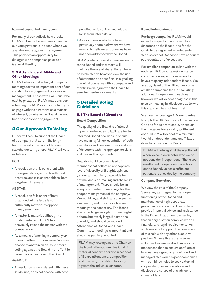For many of our actively held stocks, RLAM will write to companies to explain our voting rationale in cases where we abstain or vote against management. This provides an opportunity for dialogue with companies prior to a General Meeting.

## 3.3 Attendance at AGMs and Other Meetings

RLAM believes that voting at company meetings forms an important part of our constructive engagement process with management. These votes will usually be cast by proxy, but RLAM may consider attending the AGM as an opportunity to engage with the directors on a matter of interest, or where the Board has not been responsive to engagement.

# 4 Our Approach To Voting

RLAM will seek to support the Board of a company that acts in the longterm interests of shareholders and stakeholders. In general RLAM will vote as follows:

### FOR

**•** A resolution that is consistent with these guidelines, accords with best practice, and is in shareholders' best long-term interests.

#### **ABSTAIN**

- **•** A resolution falls short of best practice, but the issue is not sufficiently material to oppose management; or
- **•** A matter is material, although not fundamental, and RLAM has not previously raised the matter with the company; or
- **•** As a means of warning a company or drawing attention to an issue. We may choose to abstain on an issue before voting against the Board in an effort to raise our concerns with the Board.

### AGAINST

**•** A resolution is inconsistent with these guidelines, does not accord with best

practice, or is not in shareholders' long-term interests; or

**•** A resolution on which we have previously abstained where we have reason to believe our concerns have not been addressed by the Board.

RLAM prefers to send a clear message to the Board and therefore will minimise the use of abstentions where possible. We do however view the use of abstentions as beneficial in signalling our initial concerns with a company and starting a dialogue with the Board to seek further improvements.

# 5 Detailed Voting Guidelines

# 5.1 The Board of Directors

### **Board Composition**

The quality of the Board is of utmost importance in order to facilitate better informed Board decisions. It should have meaningful representation of both executives and non-executives and a mix of directors with the appropriate skills, abilities and backgrounds.

Boards should be comprised of members that reflect an appropriate level of diversity of thought, opinion, gender and ethnicity to provide for optimal decision-making and challenge of management. There should be an adequate number of meetings for the proper management of the company. We would regard six in any one year as a minimum, and often more frequent meetings are necessary. The Board should be large enough for meaningful debate, but overly large Boards are unwieldy, and should be avoided. Attendance at Board, and Board Committee, meetings is important and should be publicly reported.

RLAM may vote against the Chair or the Nomination Committee Chair if material concerns persist in respect of Board attendance, composition and diversity; in addition to voting against the individual director.

#### **Board Independence**

For **large companies** RLAM would expect a majority of non-executive directors on the Board, and for the Chair to be regarded as independent. We also expect Boards to have adequate representation of executives.

For **smaller companies**, in line with the updated UK Corporate Governance code, we now expect companies to have a majority independent Board. We are cognisant of the difficulties some smaller companies face in recruiting additional independent directors; however we will expect progress in this area or meaningful disclosure as to why this standard has not been met.

We would encourage **AIM companies** to apply the UK Corporate Governance Code as far as practicable, or explain their reasons for applying a different code. RLAM will expect at a minimum two fully independent and unaffiliated directors to sit on the Board.

RLAM will vote against the election of a non-executive director who we do not consider independent if there are insufficient independent directors on the Board, unless a sufficient rationale is provided by the company.

### **Company Secretary**

We view the role of the Company Secretary as integral to the proper functioning of the Board and maintenance of high corporate governance standards. Their role is to provide impartial advice and assistance to the Board in addition to ensuring that an organisation complies with all financial and legal requirements. As such we do not support the combination of this role with any other executive position. Where this is the case we will expect extensive disclosure as to measures taken to ensure conflicts of interest are vigorously monitored and managed. We would expect companies with combined roles to seek external corporate governance advice and to disclose the nature of this advice to shareholders.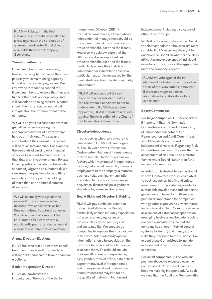RLAM will abstain in the first instance, and potentially escalate to a vote against on the re-election of an executive director if that director also holds the role of Company Secretary.

### **Time Commitments**

Board members must have enough time and energy to discharge their role properly while maintaining capacity to deal with any emerging issues. We review the attendance record of all Board members to ensure that they are fulfilling their role appropriately, and will consider opposing their re-election should their attendance record call into question their commitment to the company.

We will apply the current best practice guidelines when assessing the appropriate number of directorships held by an individual. The size and complexity of the relevant businesses will be taken into account. For example, the demands of serving on a financial services Board will be more onerous than that of an investment trust. Private Board positions may also be taken into account if judged to be substantial. We view executive positions to be fulltime, as such do not support the holding of more than one additional external directorship.

We will normally vote against the re-election of a non-executive director if we consider his or her time commitments to be of concern. We will not normally support the re-election of a director with a consistently poor attendance record absent of a satisfactory explanation.

### **Annual Director Elections**

RLAM believes that all directors should be subject to re-election annually and will support proposals in favour of annual elections.

#### **Senior Independent Director**

RLAM acknowledges the importance of the role of the Senior

Independent Director (SID). In normal circumstances, a Chair who is independent of management should be the normal channel of communication between shareholders and the Board. However, we acknowledge that the SID can also be an important link between shareholders and the Board, particularly where the Chair is not independent or is unable to resolve a particular issue. It is necessary for the nominated director to be demonstrably independent.

RLAM will not support the reelection of a person identified as the SID whom it considers to not be independent. If a SID has not been appointed, RLAM may abstain or vote against the re-election of the Chair of the Nominations Committee.

#### **Director Independence**

In considering whether a director is independent, RLAM will have regard to The UK Corporate Governance Code's determination of independence in Provision 10. Under this provision factors which may impact independence include, but are not limited to; previous employment at the company, a material business relationship, remuneration in addition to directors' fees, familial ties, cross-directorships, significant shareholding or excessive tenure.

### **Board Skills and Director Suitability**

RLAM will pay particular attention to the mix of skills on the Board, particularly around industry experience, but also on emerging issues and topics such as cyber security risk and sustainability. We encourage companies to improve their disclosure in this area. Adequate biographical information should be provided on the directors for shareholders to be able to assess them. This should include their qualifications and experience, age, gender, term of office, date of first appointment, level of independence and other personal and professional commitments that may impact on the quality of their contribution and

independence, including disclosure of other directorships.

While it is the prerogative of the Board to select candidates it believes are most suitable, RLAM reserves the right to question the Board on whether the skills, attributes and experience of individual directors or directors in the aggregate meet the company's needs.

RLAM will vote against the reelection of individual directors or the Chair of the Nomination Committee if there are major concerns about director suitability, skills or experience.

### **Board Committees**

For **large companies**, RLAM considers it important that the Nomination Committee is comprised of a majority of independent directors. The Remuneration and Audit Committees should be wholly comprised of independent directors. Regarding Risk Committees, we retain the view that the assessment of risk should be a matter for the whole Board rather than for a separate Committee.

In addition, it is desirable for the Board to have Committees for issues related to business ethics, health and safety, environment, corporate responsibility, sustainable development and corporate governance. These Committees are of particular importance for companies with greater exposure to environmental and social risks. Such Committees serve as a source of external perspective on emerging business and broader societal concerns, and also ensure that the company has proper internal control systems to identify and manage any risks they may pose to the business. We expect these Committees to include independent directors with relevant expertise.

For **small companies**, in line with our position above; we expected over the course of 2019 for these Boards to become majority independent. As such we view that the Audit and Remuneration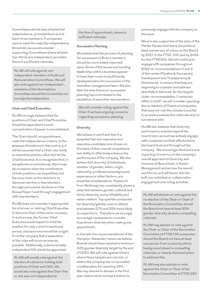Committees should have attained full independence, provided there are at least three members. If companies cannot meet the majority independence threshold, we would consider supporting Committees where at least two-thirds are independent, provided there is a sufficient rationale.

RLAM will vote against nonindependent members of Audit and Remuneration Committees. We will also vote against non-independent members of the Nominations Committee should the Committee not be majority independent.

### **Chair and Chief Executive**

RLAM strongly believes that the positions of Chair and Chief Executive should be separated to avoid concentration of power in one individual.

The Chair should, on appointment, meet the independence criteria. In the absence of evidence to the contrary, it will be assumed that a Chair who holds an executive position will in fact be the Chief Executive. It is recognised that, in exceptional circumstances, there may be occasions when the combination of both positions can be justified, but the onus rests on the directors to demonstrate this to shareholders through persuasive disclosure in the Annual Report and through engagement with shareholders.

RLAM does not consider it appropriate for a former or retiring Chief Executive to become Chair of the same company. In such a case, the former Chief Executive would expect to hold the position for only a short transitional period, and assurance would be sought from the company that a separation of the roles will occur as soon as possible. Additionally, a demonstrably independent SID should be appointed.

RLAM will usually vote against the election of a director holding both positions of Chair and CEO. We would also vote against the Chair if he or she was not independent at

the time of appointment, absent a sufficient rationale.

### **Succession Planning**

We believe that the process of planning for succession of Board members should be more widely reported upon. Some of the issues surrounding leadership within a business appear to have their roots in insufficiently developed plans for succession of the executive management team. We also take the view that poor succession planning has contributed to the escalation of executive remuneration.

We will consider voting against the Chair if we have ongoing concerns regarding succession planning.

#### **Diversity**

We believe in merit and that it is essential that non-executive and executive candidates are chosen on the basis of their overall competence and ability to effectively enhance the performance of the company. We also believe that diversity of individuals, whether of gender, ethnic origin, nationality, professional background, experience or other factors, are essential considerations. Research from McKinsey has consistently shown a clear link between gender, cultural and ethnic diversity, and profitability and value creation. Top quartile companies for diversity (gender and/or ethnic) are between 27% and 33% more likely to outperform. Therefore we strongly encourage companies to consider boardroom diversity when making any appointment.

In line with the recommendations of the Hampton-Alexander review we believe Boards should have reached a minimum 33% gender diversity target by the end of 2020. We will vote against Chairs where these targets are not met, or where the company has not provided credible plans for reaching 33%. We may choose to abstain in the first year where we've not had a chance to

previously engage with the company on the issue.

We are also supportive of the aims of the Parker Review that there should be at least one person of colour on the Board by 2021 in the FTSE 100; and by 2024 for the FTSE250. We will continue to engage with companies throughout 2022 on recommendations 2 and 3 of the review (Pipeline & Succession Development and Transparency & Disclosure); to ensure that they are beginning to consider and address shortfalls in this area. As the targets under recommendation 1 came into effect in 2021 we will consider opposing the re-election of Chairs at companies that have not met this standard and fail to provide a substantive rationale and/or succession plan.

RLAM also believes that Diversity and Inclusion extends beyond the boardroom, as such we actively engage with companies on their efforts below the board level and throughout the company. We encourage disclosure and reporting of metrics on the company's overall approach to Diversity and Inclusion at Board level, in Senior Management and across the overall workforce, and will factor this into both our individual or collaborative engagement and voting activities.

RLAM will abstain or vote against the re-election of the Chair or Chair of the Nomination Committee, should the Board not have at least 33% gender diversity absent a compelling rationale.

RLAM may abstain or vote against the Chair or Chair of the Nomination Committee at FTSE100 companies should the Board not have at least one person from a minority ethnic background absent a compelling rationale, or clearly disclosed plans to address this.

RLAM may also abstain or vote against the Chair or Chair of the Nomination Committee at FTSE 250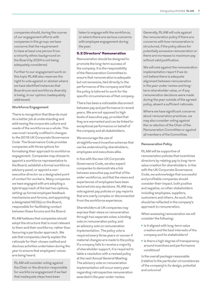companies should, during the course of our engagement efforts with companies in this group; we have concerns that the requirement to have at least one person from a minority ethnic background on the Board by 2024 is not being adequately considered.

Further to our engagement work on this topic RLAM also reserves the right to vote against or abstain where we have identified instances that Boardroom and workforce diversity is being, in our opinion; inadequately addressed.

#### **Workforce Engagement**

There is recognition that Boards must do a better job at understanding and addressing the corporate culture and needs of the workforce as a whole. This was most recently codified in changes to the 2018 UK Corporate Governance Code The Governance Code provides companies with three options for formalising their approach to workforce engagement. Companies may choose to appoint a workforce representative to the Board, establish a formal workforce advisory panel, or appoint a nonexecutive director as a designated point of contact for workers. Many companies we have engaged with are adopting a hybrid approach of the last two options, setting up formal employee feedback mechanisms and forums, and appointing a designated NED(s) on the Board, responsible for facilitating contact between these forums and the Board.

RLAM believes that companies should adopt the structure that is most relevant to them and their workforce, rather than favouring a particular approach. We ask that companies clearly explain the rationale for their chosen method and disclose activities undertaken during the year to ensure that employees' voices are being heard.

RLAM will consider voting against the Chair or the director responsible for workforce engagement if we feel that inadequate steps have been

taken to engage with the workforce, or where there are serious concerns with employee engagement during the year.

### 5.2 Directors' Remuneration

Remuneration should be designed to promote the long-term success of the company. It is the responsibility of the Remuneration Committee to ensure that remuneration is adequate but not excessive, tied directly to the performance of the company and that the policy is tailored to work for the specific circumstances of that company.

There has been a noticeable disconnect between pay and performance in recent years. We are not opposed to high levels of executive pay, provided that they are warranted and can be linked to exceptional performance on behalf of the company and all stakeholders.

We encourage the use of straightforward incentive schemes that can be understood by shareholders, employees and executives alike.

In line with the new UK Corporate Governance Code, we also expect companies to demonstrate a link between executive pay and that of the wider workforce, and that the views and experiences of employees have been factored into any decisions. RLAM may vote against pay policies or pay reports that are overly complex or disconnected from the workforce experience.

Shareholders at UK companies may express their views on remuneration through two separate votes: a binding vote on remuneration policy, and an advisory vote on remuneration implementation. The policy vote is required every three years or sooner if material changes are made to the policy. If a company fails to receive a majority of shareholder support, it is required to table a resolution with a revised policy at the next Annual General Meeting. The advisory vote on remuneration implementation will occur every year regarding retrospective remuneration awarded in the year under review.

Generally, RLAM will vote against the remuneration policy if there are concerns with how remuneration is structured, if the policy allows for potentially excessive remuneration or there are increases to maximum pay without valid justification.

We will vote against the remuneration implementation report if we do not believe there is adequate alignment between remuneration in the year under review and longterm shareholder value, or if any remuneration decisions were made during the year outside of the agreed policy, absent a sufficient rationale.

Where we have significant concerns about remuneration practices, we may also consider voting against the re-election of the Chair of the Remuneration Committee or against all members of the Committee.

#### **Remuneration Policy**

RLAM will be supportive of remuneration policies that incentivise directors by relating pay to long-term value creation for shareholders. In line with the UK Corporate Governance Code, we acknowledge that successful and profitable companies should consider their impact, both positive and negative, on other stakeholders including employees, suppliers, customers and others. As such, this should be reflected in the company's approach to remuneration.

When assessing remuneration we will consider the following:

- **•** Is it aligned with long-term value creation and the best interests of the company and its stakeholders?
- **•** Is there a high degree of transparency around incentives and performance conditions?

Is the overall package reasonable (relative to the particular circumstances of the company) in its design, potential and outcome?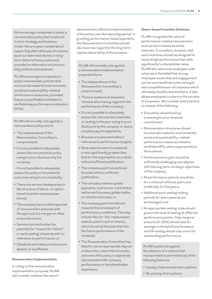We encourage companies to adopt a remuneration policy that is tailored to their strategy and business model. We are open-minded about supporting alternative pay structures (such as restricted shares or longterm deferred bonus schemes), provided an alternative structure is fully justified and explained.

RLAM encourages companies to adopt remuneration policies that incorporate material environmental, social and sustainability-related performance measures, provided they are quantifiable and linked to verifiable key performance indicators (KPIs).

RLAM will normally vote against a remuneration policy where:

- **•** The independence of the Remuneration Committee is compromised;
- **•** It is not possible to adequately assess the remuneration policy owing to poor disclosure by the company;

 - It is not possible to adequately assess the policy or its potential outcomes owing to its complexity;

- **•** There are serious inadequacies in the structure of share- or optionbased incentive schemes (see below);
- **•** The company has bundled approval of remuneration schemes with the approval of a merger or other corporate action;
- **•** Service contracts allow the potential for "reward for failure" or early vesting of awards with no reference to performance; or
- **•** Clawback and malus provisions are absent, or insufficient.

#### **Remuneration Implementation**

In voting on the remuneration implementation proposal, RLAM will consider whether the report

demonstrates effective implementation of the policy over the reporting period. In granting performance-based payments, the Remuneration Committee should also have due regard to the long-term capital stewardship of the business.

RLAM will normally vote against a remuneration implementation proposal where:

- **•** The independence of the Remuneration Committee is compromised;
- **•** There is evidence of excessive remuneration having regard to the performance of the company;
- **•** It is not possible to adequately assess the remuneration awarded or vesting in the year owing to poor disclosure by the company or due to complex pay arrangements;
- **•** Bonuses are awarded without reference to performance targets;
- **•** Base salaries were increased at a rate significantly greater than that for the organisation as a whole without sufficient justification;
- **•** The company paid transactional bonuses without sufficient justification;
- **•** The company made ex-gratia payments, such as non-contractual retirement bonuses, golden hellos, or retention bonuses; or
- **•** The company paid recruitment rewards that are absent of performance conditions. This may include 'like-for-like' replacement awards, paid in cash or shares, which do not tie the executive into the future performance of the company;
- **•** The Remuneration Committee has failed to use an appropriate degree of discretion, where the formulaic outcome of the policy is objectively disconnected with company performance or the shareholder experience.

### **Share-based Incentive Schemes**

RLAM recognises the value of performance-related remuneration such as share-based incentive schemes. It considers, however, that such incentives should be designed to reward high performance that adds significantly to shareholder value. RLAM also welcomes employee-wide schemes in the belief that strong employee-ownership and engagement can be very beneficial to the strength and competitiveness of a business which ultimately benefits shareholders. It also allows employees to share in the success of a business. We consider best practice to consist of the following:

- **•** Executives should build up a meaningful prior financial commitment;
- **•** Remuneration structures should incorporate material, environmental, social and sustainability-related performance measures linked to verifiable KPIs, where appropriate to the business;
- **•** Performance targets should be sufficiently challenging and aligned with the long-term strategic objectives of the company;
- **•** All performance periods should be for a minimum of three years and preferably for five years;
- **•** Additional post-vesting holding periods for share awards are encouraged; and
- **•** An appropriate vesting scale should govern the level of vesting at different performance points. Only marginal amounts (0-25%) should vest for average or threshold performance and full vesting should only occur for outstanding performance.

RLAM would vote against the adoption of a scheme that incorporated or permitted any of the following features:

- **•** Issuing of discounted share options
- **•** Re-pricing share options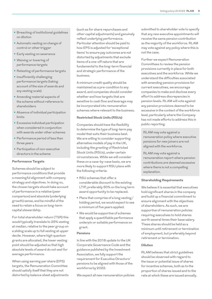- **•** Breaching of institutional guidelines on dilution
- **•** Automatic vesting on change of control or other trigger
- **•** Early vesting on severance
- **•** Waiving or lowering of performance targets
- **•** Retesting of performance targets
- Insufficiently challenging performance targets (taking account of the size of awards and any vesting scale)
- **•** Amending material aspects of the scheme without reference to shareholders
- **•** Absence of individual participation limits
- **•** Excessive individual participation when considered in conjunction with awards under other schemes
- **•** Performance period of less than three years
- **•** Participation of non-executive directors in the scheme

### **Performance Targets**

Schemes should be subject to performance conditions that provide a meaningful alignment with company strategy and objectives. In doing so, the chosen targets should take account of performance in a relative (peer comparison) and absolute (underlying growth) sense, and be mindful of the need to retain a focus on long-term capital stewardship.

For total shareholder return (TSR) this would typically translate to 25% vesting at median, relative to the peer group on a sliding scale up to full vesting at upper decile. However, where high quantum grants are allocated, the lower vesting point should be adjusted so that high absolute levels of award do not vest for average performance.

When using earning per share (EPS) targets, the Remuneration Committee should satisfy itself that they are not distorted by balance sheet adjustments (such as for share repurchases and other capital adjustments) and genuinely reflect underlying performance. Particular attention should be paid to how EPS is adjusted for 'exceptional items' to ensure pay outcomes are not distorted by adjustments that exclude items of a one-off nature that are fundamental to the long-term financial and strategic performance of the business.

A minimum credit quality should be maintained as a pre-condition to any award, and companies should consider whether and how targets that are sensitive to cash flow and leverage may be incorporated into remuneration schemes where relevant to the business.

#### **Restricted Stock Units (RSUs)**

Companies should have the flexibility to determine the type of long-term pay model that suits their business best. We are willing to consider supporting alternative models of pay in the UK, including the granting of Restricted Stock Units (RSUs), under certain circumstances. While we will consider these on a case-by-case basis, we are more likely to support RSU plans with the following criteria:

- **•** RSU schemes that offer a considerable discount to the existing LTIP, preferably 50% on the long term award opportunity to be replaced.
- **•** Plans that comprise of a long vesting/ holding period, we would expect to see a minimum of five years applied.
- **•** We would be supportive of schemes that apply a quantifiable performance underpin or suitable performance on grant.

#### **Pensions**

In line with the 2018 update to the UK Corporate Governance Code and the guidance published by the Investment Association, we fully support the requirement for Executive Directors' pensions to be aligned with those of the workforce by 2022.

We expect all new remuneration policies

submitted to shareholder vote to specify that any new executive appointments will receive the same pension contribution as the majority of the workforce. RLAM may vote against any policy where this is not the case.

Further we expect Remuneration Committees to review the pension provisions currently in place for both executives and the workforce. While we understand the difficulties associated with amending pension provisions for current executives, we encourage companies to make and disclose every effort to address discrepancies in pension levels. RLAM will vote against any pension provisions deemed to be excessive in the context of the workforce level, particularly where the Company has not made efforts to address this in public reporting.

RLAM may vote against a remuneration policy where executive pensions for new joiners are not aligned with the workforce.

RLAM may vote against a remuneration report where pension contributions are deemed excessive where there is not a compelling explanation.

### **Shareholding Requirements**

We believe it is essential that executives hold significant shares in the company and build up a financial commitment to ensure alignment with the objectives of shareholders. As such, we are supportive of remuneration policies requiring executives to hold shares worth several times their base salary. These shares should be held as a minimum until retirement or termination of employment, but preferably beyond retirement or termination.

#### **Dilution**

RLAM believes that strict guidelines should be observed with regard to the issue or potential issue of shares for incentive schemes, both as to the proportion of shares issued and to the rate at which these are issued annually.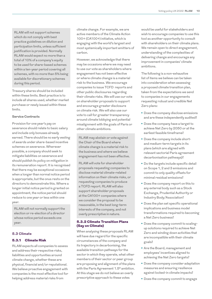RLAM will not support schemes which do not comply with best practice guidelines on dilution and participation limits, unless sufficient justification is provided. Normally RLAM would expect no more than a total of 10% of a company's equity to be used for share-based schemes within a ten-year period covering all schemes, with no more than 5% being available for discretionary schemes during this period.

Treasury shares should be included within these limits. Best practice is to include all shares used, whether market purchase or newly issued within these limits.

#### **Service Contracts**

Provision for one year's pay on severance should relate to basic salary and include only bonuses already earned. There should be no early vesting of awards under share-based incentive schemes on severance. Wherever possible, a company should seek to mitigate liabilities on severance and should publish its policy on mitigation in its remuneration report. It is recognised that there may be exceptional occasions when a longer than normal notice period is appropriate, but the onus rests on the directors to demonstrate this. Where a longer initial notice period is granted on appointment, the notice period should reduce to one year or less within one year.

RLAM will not normally support the election or re-election of a director whose notice period exceeds one year.

#### **5.3 Climate**

### 5.3.1 Climate Risk

RLAM expects all companies to assess and address their respective risks, liabilities and opportunities around climate change, whether these are physical, financial and/or reputational. We believe proactive engagement with companies is the most effective tool for helping address material risks from

climate change. For example, we are active members of the Climate Action 100+ (CA100+) initiative, which is engaging with the world's largest and most systemically important emitters of carbon.

However, we acknowledge that there may be occasions where we may need to use our vote as shareholders where engagement has not been effective or where climate change is a material risk to the business. We encourage companies to issue TCFD reports and other public disclosures regarding their climate risks. We will use our vote on shareholder proposals to support and encourage greater disclosure on climate risk. We will also use our vote to call for greater transparency around climate lobbying and potential misalignment with the goals of Paris or other climate ambitions.

RLAM may abstain or vote against the Chair of the Board where climate change is a material risk to the business and where we believe engagement has not been effective.

RLAM will vote for shareholder proposals requesting companies to disclose material climate-related information on their climate risks, or requesting companies to produce a TCFD report. RLAM will also support shareholder proposals at the CA100+ companies where we consider the proposal to be reasonable, in the best long-term interests of the company, and not overly prescriptive in nature.

### 5.3.2 Climate Transition Plans (Say on Climate)

When analysing these proposals RLAM will have due regard for the specific circumstances of the company and its trajectory in decarbonising, the available transition pathways for the sector in which they operate, what other members of their sector or peer group are proposing and alignment of the plans with the Paris Agreement 1.5° ambition. At this stage we do not believe an overly prescriptive approach to these votes

would be useful for stakeholders and wish to encourage companies to use this tool as another opportunity to consult with shareholders on their climate plans. We remain open to direct engagement, understanding of the complexities of delivering change and encourage any improvement in companies' climate ambitions.

The following is a non-exhaustive list of items we believe can be taken into consideration when assessing a proposed climate transition plan, taken from the expectations we send to companies in our engagements requesting robust and credible Net Zero plans:

- **•** Does the company disclose emissions and are these independently audited?
- **•** Does the company have a target to achieve Net Zero by 2050 or at the earliest feasible timeframe?
- **•** Does the company include shortand medium-term targets in its plans (which are aligned with relevant sectorial Paris agreement decarbonisation pathways)?
- **•** Do the targets include specific detail on Scope 1, 2 and 3 emissions and commit to only quality offsets for minimal residual emissions?
- **•** Does the company report on this to any external body such as a Stock Exchange, Prudential Authority or Industry Body/Association?
- **•** Does the plan set specific operational implications and business model transformations required to becoming a Net Zero business?
- **•** Does the company commit to scalingup solutions required to achieve Net Zero and winding down activities that are incompatible with their climate goals?
- **•** Are the Board, management and employees' incentives aligned to achieving the Net Zero targets?
- **•** Does the company consider adaptation measures and ensuring resilience against locked-in climate impacts?
- **•** Does the company commit to engage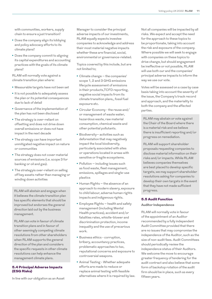with communities, workers, supply chain to ensure a just transition?

- **•** Does the company align its lobbying and policy advocacy efforts to its climate plans?
- **•** Does the company commit to aligning its capital expenditures and accounting practices with the goals of its climate plans?

RLAM will normally vote against a climate transition plan where:

- **•** Measurable targets have not been set
- **•** It is not possible to adequately assess the plan or its potential consequences due to lack of detail
- **•** Governance of the implementation of the plan has not been disclosed
- **•** The strategy is over-reliant on offsetting and does not drive down overall emissions or does not have impact in the next decade
- **•** The strategy can have important unmitigated negative impact on nature or communities
- **•** The strategy does not cover material sources of emissions (i.e. scope 3 for banking or oil and gas).
- **•** The strategyis over-reliant on selling off key assets rather than managing or winding down activities

RLAM will abstain and engage when it believes the climate transition plan has specific elements that should be improved but endorses the general direction laid out by the business management.

RLAM can vote in favour of climate transition plans and in favour of other seemingly competing climate resolutions from other shareholders when RLAM supports the general direction of the plan and considers the specific requests in other climate resolutions can help enhance the management climate plans.

## 5.4 Principal Adverse Impacts (ESG Risks)

In line with our obligation as an Asset

Manager to consider the principal adverse impacts of our investments, RLAM equally expects investee companies to acknowledge and address their most material negative impacts whether these are financial, social, environmental or governance-related.

Topics covered by this include, but are not limited to;

- **•** Climate change the companies' scope 1, 2 and 3 GHG emissions lifecycle assessment of emissions in their products,TCFD reporting, negative social impacts from its climate transition plans,, fossil fuel exposure etc.
- **•** Circular Economy the reuse and/ or management of waste water, hazardous waste, raw material consumption, chemical waste and other potential pollutants.
- **•** Biodiversity– activities such as deforestation that may negatively impact the local biodiversity, particularly associated with sites or operations located in areas with sensitive or fragile ecosystems.
- **•** Pollution including issues such as food waste, fleet management, emissions, spillages and single-use plastics
- **•** Human Rights the absence of an approach to modern slavery, exposure to child labour, adverse human rights impacts and indigenous rights.
- **•** Employee Rights health and safety management (including Mental Health practices), accident and/or fatalities rates, whistle-blower and discrimination protection, income inequality and the use of precarious work.
- **•** Business ethics corruption, bribery, accountancy practices, problematic approaches to tax, reputational concerns and exposure to controversial weapons.
- **•** Animal Testing Whether adequate efforts are made to reduce or replace animal testing with feasible alternatives where it is required by law.

Not all companies will be impacted by all risks. We expect and accept the need for the approach to these topics to be proportionate, taking into account the risk and exposure of the company. Where possible we will seek to engage with companies on these topics to drive change, but should engagement be ineffective or not possible, RLAM will use both our and the companies' principal adverse impacts to inform the way we use our vote.

Votes will be assessed on a case by case basis taking into account the severity of the issue, the Company's track record and approach, and the materiality to both the company and the affected parties.

RLAM may abstain or vote against the Chair of the Board where there is a material risk and we believe there is insufficient reporting and/or progress on remediation.

RLAM will support shareholder proposals requesting companies to disclose material information on their risks and/or impacts. While RLAM believes companies themselves are best placed to develop specific targets, we may support shareholder resolutions asking for companies to develop their own targets in the event that they have not made sufficient progress.

### 5.5 Audit Function

#### **Auditor Independence**

RLAM will normally vote in favour of the appointment of an Auditor recommended by a fully independent Audit Committee provided that there are no issues that may compromise the independence of the Auditor, such as the size of non-audit fees. Audit Committees should periodically review the independence status of their Auditors. We welcome the move to encourage greater frequency of tendering for the audit contract and also believe that some form of backstop rotation of the audit firm should be in place, such as every fifteen years.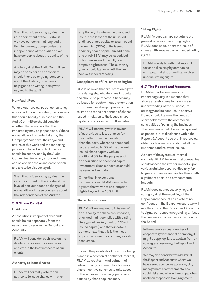We will consider voting against the re-appointment of the Auditor if we have concerns that long audit firm tenure may compromise the independence of the audit or if we have concerns about the quality of the audit.

A vote against the Audit Committee may be considered appropriate should there be ongoing concerns about the Auditor, or in cases of negligence or wrong-doing with regard to the audit.

#### **Non-Audit Fees**

Where Auditors carry out consultancy work in addition to auditing the company, this should be fully disclosed and the Audit Committee should consider whether there is a risk that their impartiality may be jeopardised. Where non-audit work is undertaken by the Company's Auditors, the range and nature of this work and the tendering process followed in ordering work should be supervised by the Audit Committee. Very large non-audit fees can be considered an indicator of risk and are to be discouraged.

We will consider voting against the re-appointment of the Auditor if the level of non-audit fees or the type of non-audit work raise concerns about the independence of the Auditor.

#### 5.6 Share Capital

#### **Dividends**

A resolution in respect of dividends should be put separately from the resolution to receive the Report and Accounts.

RLAM will consider each vote on the dividend on a case-by-case basis and vote in the best interests of our clients.

### **Authority to Issue Shares**

RLAM will normally vote for an authority to issue shares with preemption rights where the proposed issue is the lesser of the unissued ordinary share capital or a sum equal to one third (33%) of the issued ordinary share capital. An additional one third (33%) may be issued, but only when subject to a fully preemptive rights issue. The authority given should last only until the next Annual General Meeting.

#### **Disapplication of Pre-emption Rights**

RLAM believes that pre-emption rights for existing shareholders are important and should be protected. Shares may be issued for cash without pre-emption or for remuneration purposes, subject to limits as to the proportion of shares issued in relation to the issued share capital, and also subject to flow rates.

RLAM will normally vote in favour of authorities to issue shares for cash, other than from existing shareholders, where the proposed issue is limited to 5% of the current issued share capital, with an additional 5% for the purposes of an acquisition or specified capital investment. Such authorities should be renewed annually.

Other than in exceptional circumstances, RLAM would vote against the waiver of pre-emption rights beyond the 10% limit.

#### **Share Repurchases**

RLAM will normally vote in favour of an authority for share repurchases, provided that it complies with Listing Rule guidelines (e.g. limit of 15% of issued capital) and that directors demonstrate that this is the most appropriate use of a company's cash resources.

To avoid the possibility of directors being placed in a position of conflict of interest, RLAM advocates the adjustment of relevant targets in executive bonus or share incentive schemes to take account of the increase in earnings per share caused by share repurchases.

### **Voting Rights**

RLAM favours a share structure that gives all shares equal voting rights. RLAM does not support the issue of shares with impaired or enhanced voting rights.

RLAM is likely to withhold support for capital raising by companies with a capital structure that involves unequal voting rights.

### 5.7 The Report and Accounts

RLAM expects companies to report regularly in a manner that allows shareholders to have a clear understanding of the business, its strategy and its conduct. In short, a Board should balance the needs of shareholders with the commercial sensitivities of running the business. The company should be as transparent as possible in its disclosure within the Report & Accounts so that investors can obtain a clear understanding of all the important and relevant issues.

As part of the system of internal controls, RLAM believes that companies should assess their wider impacts upon various stakeholders, particularly for larger companies, and/or for those with significant social and environmental impacts.

RLAM does not necessarily regard voting against the receiving of the Report and Accounts as a vote of no confidence in the Board. As such, we will use the vote on the Report and Accounts to signal our concern regarding an issue that we feel requires more attention by the Board.

In the case of serious breaches of corporate governance at a company, it might be appropriate to abstain from or vote against receiving the Report and Accounts.

We may also consider voting against the Report and Accounts where we have serious concerns about ongoing management of environmental and social risks, and where the company has not been responsive to engagement.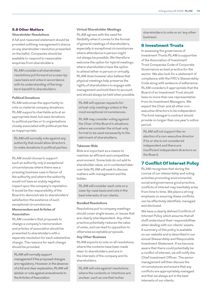## 5.8 Other Matters

#### **Shareholder Resolutions**

A full and reasoned statement should be provided outlining management's stance on any shareholder resolution presented on the ballot. Companies should be available to respond to reasonable enquiries from shareholders.

RLAM considers all shareholder resolutions put forward on a case-bycase basis and votes in accordance with its understanding of the longterm benefit to shareholders.

#### **Political Donations**

RLAM welcomes the opportunity to vote on material company donations. RLAM supports charitable acts at an appropriate level, but sees donations to political parties or to organisations closely associated with political parties as inappropriate.

RLAM will normally vote against any authority that would allow directors to make donations to political parties.

RLAM would choose to support such an authority only in exceptional circumstances where there was a pressing business case in favour of the authority and where the authority would not have an unduly negative impact upon the company's reputation. It would be the responsibility of the Board to demonstrate to shareholders' satisfaction the existence of such exceptional circumstances.

## **Memorandum and Articles of Association**

RLAM considers that proposals to change a company's memorandum and articles of association should be presented to shareholders with a separate resolution for each substantive change. The reasons for each change should be provided.

RLAM will normally support management if the proposed changes are regulatory. However, in the absence of a full and clear explanation, RLAM will abstain or vote against amendments to the Articles of Association.

### **Virtual Shareholder Meetings**

RLAM agrees with the need for flexibility when it comes to the format of general meetings of shareholders, especially in exceptional circumstances where attendance in person might not always be possible. We therefore welcome the option for hybrid meetings where shareholders have the option to attend either in person or virtually. RLAM does however also believe that physical meetings help preserve the rights of shareholders to engage with management and hold them to account, and should always be held when possible.

RLAM will oppose requests for virtual-only meetings unless in the most exceptional circumstances.

RLAM may consider voting against the Chair of the Board in situations where we consider the virtual-only format to be used necessarily to the detriment of shareholders.

### **Takeover Bids**

Bids are important as a means to maintain an efficient and competitive environment. Some bids do not add to shareholder value, so in contested takeover bids RLAM will seek to discuss matters with management and the bidder.

RLAM will consider each vote on a case-by-case basis and vote in the best interests of our clients.

### **Bundled Resolutions**

Resolutions put to company meetings should cover single issues, or issues that are clearly interdependent. Any other practice potentially reduces the value of votes, and can lead to opposition to otherwise acceptable proposals.

#### **Any Other Business**

RLAM expects to vote on all resolutions, where the contents have been made clear to shareholders and are in the interests of the company and its shareholders.

RLAM will vote against resolutions where the contents or intentions are unclear, such as one that invites

shareholders to vote on an 'any other business'.

## 6 Investment Trusts

In assessing the governance of Investment Trusts RLAM is supportive of the Association of Investment Trust Companies Code of Corporate Governance as best practice for the sector. We also look for a statement of compliance with the FRC's Stewardship Code along with evidence of adherence. RLAM considers it appropriate that the Board of an Investment Trust should have no more than one representative from its Investment Managers. We expect the Chair and all other nonexecutive directors to be independent. The fund manager's contract should provide no longer than one year's notice period.

RLAM will not support the reelection of a non-executive director if he or she is not considered independent and there are insufficient independent directors on the Board.

## 7 Conflict Of Interest Policy

RLAM recognises that during the course of our stewardship and voting activities promoting environmental, social and governance good practice, conflicts of interest may inevitably arise from time to time. We place a strong emphasis on ensuring these conflicts can be effectively identified, managed and disclosed.

We have a clearly defined Conflicts of Interest Policy which ensures that all staff understand their responsibilities when dealing with our clients' assets. A summary of this policy is available on our website and is described in our annual Stewardship and Responsible Investment Statement. If we become aware that there could potentially be a conflict of interest, we will notify the Chief Investment Officer. The senior management will then discuss the circumstances and ensure that any conflicts are appropriately managed and that we always act in the best interests of our clients.